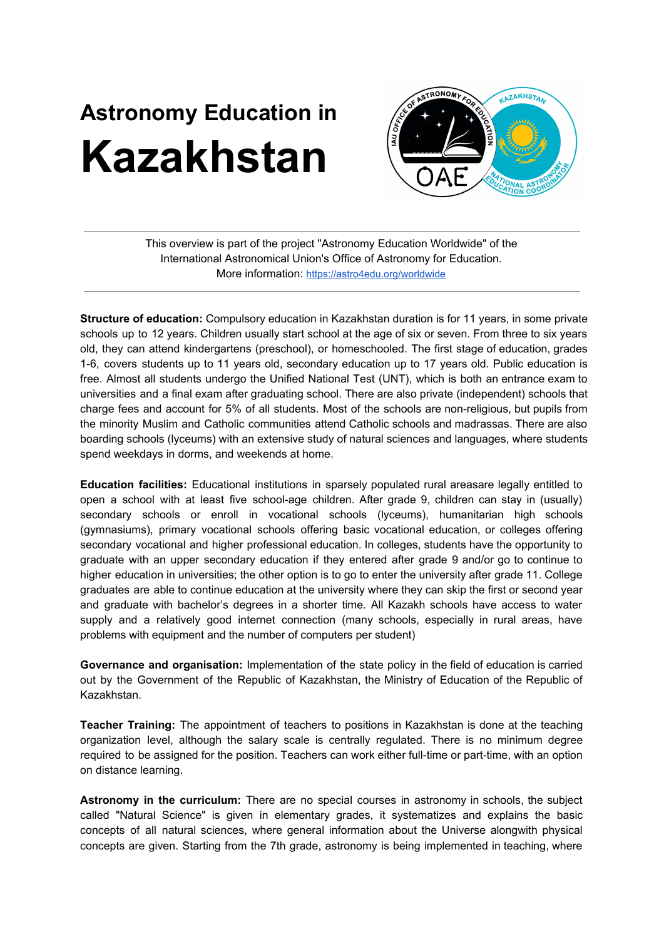## **Astronomy Education in Kazakhstan**



This overview is part of the project "Astronomy Education Worldwide" of the International Astronomical Union's Office of Astronomy for Education. More information: <https://astro4edu.org/worldwide>

**Structure of education:** Compulsory education in Kazakhstan duration is for 11 years, in some private schools up to 12 years. Children usually start school at the age of six or seven. From three to six years old, they can attend kindergartens (preschool), or homeschooled. The first stage of education, grades 1-6, covers students up to 11 years old, secondary education up to 17 years old. Public education is free. Almost all students undergo the Unified National Test (UNT), which is both an entrance exam to universities and a final exam after graduating school. There are also private (independent) schools that charge fees and account for 5% of all students. Most of the schools are non-religious, but pupils from the minority Muslim and Catholic communities attend Catholic schools and madrassas. There are also boarding schools (lyceums) with an extensive study of natural sciences and languages, where students spend weekdays in dorms, and weekends at home.

**Education facilities:** Educational institutions in sparsely populated rural areasare legally entitled to open a school with at least five school-age children. After grade 9, children can stay in (usually) secondary schools or enroll in vocational schools (lyceums), humanitarian high schools (gymnasiums), primary vocational schools offering basic vocational education, or colleges offering secondary vocational and higher professional education. In colleges, students have the opportunity to graduate with an upper secondary education if they entered after grade 9 and/or go to continue to higher education in universities; the other option is to go to enter the university after grade 11. College graduates are able to continue education at the university where they can skip the first or second year and graduate with bachelor's degrees in a shorter time. All Kazakh schools have access to water supply and a relatively good internet connection (many schools, especially in rural areas, have problems with equipment and the number of computers per student)

**Governance and organisation:** Implementation of the state policy in the field of education is carried out by the Government of the Republic of Kazakhstan, the Ministry of Education of the Republic of Kazakhstan.

**Teacher Training:** The appointment of teachers to positions in Kazakhstan is done at the teaching organization level, although the salary scale is centrally regulated. There is no minimum degree required to be assigned for the position. Teachers can work either full-time or part-time, with an option on distance learning.

**Astronomy in the curriculum:** There are no special courses in astronomy in schools, the subject called "Natural Science" is given in elementary grades, it systematizes and explains the basic concepts of all natural sciences, where general information about the Universe alongwith physical concepts are given. Starting from the 7th grade, astronomy is being implemented in teaching, where